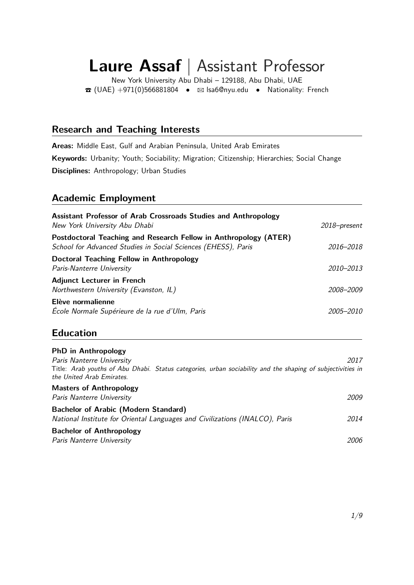# **Laure Assaf** | Assistant Professor

New York University Abu Dhabi – 129188, Abu Dhabi, UAE  $\bullet$  (UAE) +971(0)566881804  $\bullet$  ⊠ [lsa6@nyu.edu](mailto:lsa6@nyu.edu)  $\bullet$  Nationality: French

# **Research and Teaching Interests**

**Areas:** Middle East, Gulf and Arabian Peninsula, United Arab Emirates **Keywords:** Urbanity; Youth; Sociability; Migration; Citizenship; Hierarchies; Social Change **Disciplines:** Anthropology; Urban Studies

# **Academic Employment**

| Assistant Professor of Arab Crossroads Studies and Anthropology<br>New York University Abu Dhabi                                  | 2018-present |
|-----------------------------------------------------------------------------------------------------------------------------------|--------------|
| Postdoctoral Teaching and Research Fellow in Anthropology (ATER)<br>School for Advanced Studies in Social Sciences (EHESS), Paris | 2016-2018    |
| Doctoral Teaching Fellow in Anthropology<br>Paris-Nanterre University                                                             | 2010-2013    |
| <b>Adjunct Lecturer in French</b><br>Northwestern University (Evanston, IL)                                                       | 2008–2009    |
| Elève normalienne<br>École Normale Supérieure de la rue d'Ulm, Paris                                                              | 2005–2010    |

# **Education**

**PhD in Anthropology**

| <b>PND IN ANTIFODOIOGY</b>                                                                                                              |      |
|-----------------------------------------------------------------------------------------------------------------------------------------|------|
| Paris Nanterre University                                                                                                               | 2017 |
| Title: Arab youths of Abu Dhabi. Status categories, urban sociability and the shaping of subjectivities in<br>the United Arab Emirates. |      |
| <b>Masters of Anthropology</b>                                                                                                          |      |
| Paris Nanterre University                                                                                                               | 2009 |
| <b>Bachelor of Arabic (Modern Standard)</b>                                                                                             |      |
| National Institute for Oriental Languages and Civilizations (INALCO), Paris                                                             | 2014 |
| <b>Bachelor of Anthropology</b>                                                                                                         |      |
| Paris Nanterre University                                                                                                               | 2006 |
|                                                                                                                                         |      |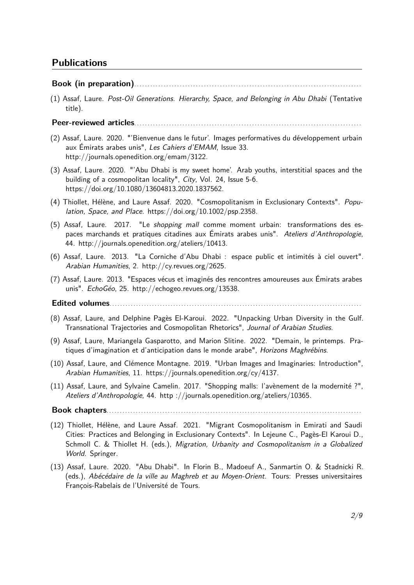# **Publications**

#### **Book (in preparation)**. . . . . . . . . . . . . . . . . . . . . . . . . . . . . . . . . . . . . . . . . . . . . . . . . . . . . . . . . . . . . . . . . . . . . . . . . . . . . . . . . . . . .

(1) Assaf, Laure. Post-Oil Generations. Hierarchy, Space, and Belonging in Abu Dhabi (Tentative title).

#### **Peer-reviewed articles**. . . . . . . . . . . . . . . . . . . . . . . . . . . . . . . . . . . . . . . . . . . . . . . . . . . . . . . . . . . . . . . . . . . . . . . . . . . . . . . . . . . . .

- (2) Assaf, Laure. 2020. "'Bienvenue dans le futur'. Images performatives du développement urbain aux Émirats arabes unis", Les Cahiers d'EMAM, Issue 33. [http://journals.openedition.org/emam/3122.](http://journals.openedition.org/emam/3122)
- (3) Assaf, Laure. 2020. "'Abu Dhabi is my sweet home'. Arab youths, interstitial spaces and the building of a cosmopolitan locality", City, Vol. 24, Issue 5-6. <https://doi.org/10.1080/13604813.2020.1837562>.
- (4) Thiollet, Hélène, and Laure Assaf. 2020. "Cosmopolitanism in Exclusionary Contexts". Population, Space, and Place. [https://doi.org/10.1002/psp.2358.](https://doi.org/10.1002/psp.2358)
- (5) Assaf, Laure. 2017. "Le shopping mall comme moment urbain: transformations des espaces marchands et pratiques citadines aux Émirats arabes unis". Ateliers d'Anthropologie, 44. [http://journals.openedition.org/ateliers/10413.](http://journals.openedition.org/ateliers/10413)
- (6) Assaf, Laure. 2013. "La Corniche d'Abu Dhabi : espace public et intimités à ciel ouvert". Arabian Humanities, 2. <http://cy.revues.org/2625>.
- (7) Assaf, Laure. 2013. "Espaces vécus et imaginés des rencontres amoureuses aux Émirats arabes unis". EchoGéo, 25. [http://echogeo.revues.org/13538.](http://echogeo.revues.org/13538)

# **Edited volumes**. . . . . . . . . . . . . . . . . . . . . . . . . . . . . . . . . . . . . . . . . . . . . . . . . . . . . . . . . . . . . . . . . . . . . . . . . . . . . . . . . . . . . . . . . . . . . . .

- (8) Assaf, Laure, and Delphine Pagès El-Karoui. 2022. "Unpacking Urban Diversity in the Gulf. Transnational Trajectories and Cosmopolitan Rhetorics", Journal of Arabian Studies.
- (9) Assaf, Laure, Mariangela Gasparotto, and Marion Slitine. 2022. "Demain, le printemps. Pratiques d'imagination et d'anticipation dans le monde arabe", Horizons Maghrébins.
- (10) Assaf, Laure, and Clémence Montagne. 2019. "Urban Images and Imaginaries: Introduction", Arabian Humanities, 11. [https://journals.openedition.org/cy/4137.](https://journals.openedition.org/cy/4137)
- (11) Assaf, Laure, and Sylvaine Camelin. 2017. "Shopping malls: l'avènement de la modernité ?", Ateliers d'Anthropologie, 44. http [://journals.openedition.org/ateliers/10365.](http ://journals.openedition.org/ateliers/10365)

**Book chapters**. . . . . . . . . . . . . . . . . . . . . . . . . . . . . . . . . . . . . . . . . . . . . . . . . . . . . . . . . . . . . . . . . . . . . . . . . . . . . . . . . . . . . . . . . . . . . . . .

- (12) Thiollet, Hélène, and Laure Assaf. 2021. "Migrant Cosmopolitanism in Emirati and Saudi Cities: Practices and Belonging in Exclusionary Contexts". In Lejeune C., Pagès-El Karoui D., Schmoll C. & Thiollet H. (eds.), Migration, Urbanity and Cosmopolitanism in a Globalized World. Springer.
- (13) Assaf, Laure. 2020. "Abu Dhabi". In Florin B., Madoeuf A., Sanmartin O. & Stadnicki R. (eds.), Abécédaire de la ville au Maghreb et au Moyen-Orient. Tours: Presses universitaires François-Rabelais de l'Université de Tours.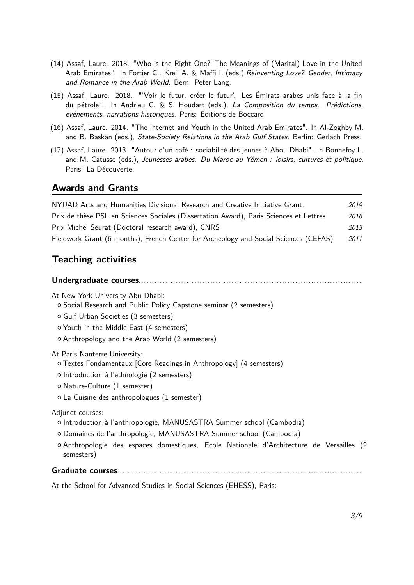- (14) Assaf, Laure. 2018. "Who is the Right One? The Meanings of (Marital) Love in the United Arab Emirates". In Fortier C., Kreil A. & Maffi I. (eds.), Reinventing Love? Gender, Intimacy and Romance in the Arab World. Bern: Peter Lang.
- (15) Assaf, Laure. 2018. "'Voir le futur, créer le futur'. Les Émirats arabes unis face à la fin du pétrole". In Andrieu C. & S. Houdart (eds.), La Composition du temps. Prédictions, événements, narrations historiques. Paris: Editions de Boccard.
- (16) Assaf, Laure. 2014. "The Internet and Youth in the United Arab Emirates". In Al-Zoghby M. and B. Baskan (eds.), State-Society Relations in the Arab Gulf States. Berlin: Gerlach Press.
- (17) Assaf, Laure. 2013. "Autour d'un café : sociabilité des jeunes à Abou Dhabi". In Bonnefoy L. and M. Catusse (eds.), Jeunesses arabes. Du Maroc au Yémen : loisirs, cultures et politique. Paris: La Découverte.

### **Awards and Grants**

| NYUAD Arts and Humanities Divisional Research and Creative Initiative Grant.            | 2019 |
|-----------------------------------------------------------------------------------------|------|
| Prix de thèse PSL en Sciences Sociales (Dissertation Award), Paris Sciences et Lettres. | 2018 |
| Prix Michel Seurat (Doctoral research award), CNRS                                      | 2013 |
| Fieldwork Grant (6 months), French Center for Archeology and Social Sciences (CEFAS)    | 2011 |

# **Teaching activities**

# **Undergraduate courses**. . . . . . . . . . . . . . . . . . . . . . . . . . . . . . . . . . . . . . . . . . . . . . . . . . . . . . . . . . . . . . . . . . . . . . . . . . . . . . . . . . . .

At New York University Abu Dhabi:

{ Social Research and Public Policy Capstone seminar (2 semesters)

- { Gulf Urban Societies (3 semesters)
- { Youth in the Middle East (4 semesters)
- { Anthropology and the Arab World (2 semesters)

At Paris Nanterre University:

- { Textes Fondamentaux [Core Readings in Anthropology] (4 semesters)
- { Introduction à l'ethnologie (2 semesters)
- { Nature-Culture (1 semester)
- { La Cuisine des anthropologues (1 semester)

Adjunct courses:

- { Introduction à l'anthropologie, MANUSASTRA Summer school (Cambodia)
- { Domaines de l'anthropologie, MANUSASTRA Summer school (Cambodia)
- { Anthropologie des espaces domestiques, Ecole Nationale d'Architecture de Versailles (2 semesters)

#### Graduate<sub>s</sub> courses

At the School for Advanced Studies in Social Sciences (EHESS), Paris: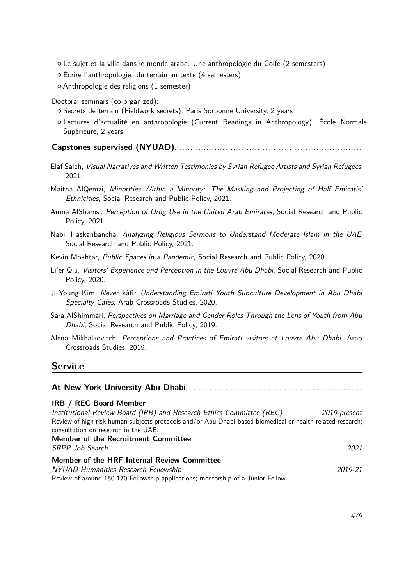- { Le sujet et la ville dans le monde arabe. Une anthropologie du Golfe (2 semesters)
- { Écrire l'anthropologie: du terrain au texte (4 semesters)
- { Anthropologie des religions (1 semester)
- Doctoral seminars (co-organized):
	- { Secrets de terrain (Fieldwork secrets), Paris Sorbonne University, 2 years
	- { Lectures d'actualité en anthropologie (Current Readings in Anthropology), École Normale Supérieure, 2 years

**Capstones supervised (NYUAD)**. . . . . . . . . . . . . . . . . . . . . . . . . . . . . . . . . . . . . . . . . . . . . . . . . . . . . . . . . . . . . . . . . . . . . .

- Elaf Saleh, Visual Narratives and Written Testimonies by Syrian Refugee Artists and Syrian Refugees, 2021.
- Maitha AlQemzi, Minorities Within a Minority: The Masking and Projecting of Half Emiratis' Ethnicities, Social Research and Public Policy, 2021.
- Amna AlShamsi, Perception of Drug Use in the United Arab Emirates, Social Research and Public Policy, 2021.
- Nabil Haskanbancha, Analyzing Religious Sermons to Understand Moderate Islam in the UAE, Social Research and Public Policy, 2021.
- Kevin Mokhtar, Public Spaces in a Pandemic, Social Research and Public Policy, 2020.
- Li'er Qiu, Visitors' Experience and Perception in the Louvre Abu Dhabi, Social Research and Public Policy, 2020.
- Ji Young Kim, Never kâfî: Understanding Emirati Youth Subculture Development in Abu Dhabi Specialty Cafes, Arab Crossroads Studies, 2020.
- Sara AlShimmari, Perspectives on Marriage and Gender Roles Through the Lens of Youth from Abu Dhabi, Social Research and Public Policy, 2019.
- Alena Mikhalkovitch, Perceptions and Practices of Emirati visitors at Louvre Abu Dhabi, Arab Crossroads Studies, 2019.

# **Service**

| <b>IRB / REC Board Member</b>                                                                                                                      |              |
|----------------------------------------------------------------------------------------------------------------------------------------------------|--------------|
| Institutional Review Board (IRB) and Research Ethics Committee (REC)                                                                               | 2019-present |
| Review of high risk human subjects protocols and/or Abu Dhabi-based biomedical or health related research;<br>consultation on research in the UAE. |              |
| <b>Member of the Recruitment Committee</b>                                                                                                         |              |
| SRPP Job Search                                                                                                                                    | 2021         |
| Member of the HRF Internal Review Committee                                                                                                        |              |
| NYUAD Humanities Research Fellowship                                                                                                               | 2019-21      |
| Review of around 150-170 Fellowship applications; mentorship of a Junior Fellow.                                                                   |              |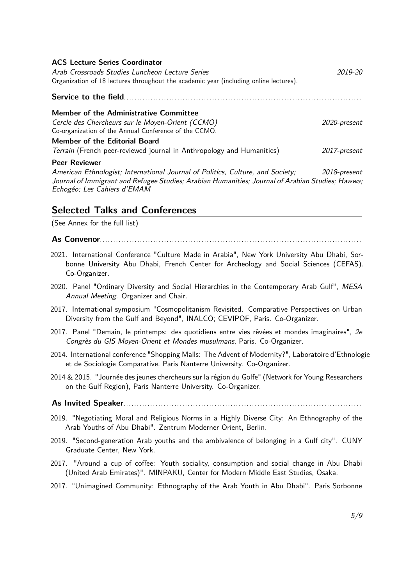| <b>ACS Lecture Series Coordinator</b><br>Arab Crossroads Studies Luncheon Lecture Series<br>Organization of 18 lectures throughout the academic year (including online lectures). | 2019-20      |
|-----------------------------------------------------------------------------------------------------------------------------------------------------------------------------------|--------------|
|                                                                                                                                                                                   |              |
| Member of the Administrative Committee                                                                                                                                            |              |
| Cercle des Chercheurs sur le Moyen-Orient (CCMO)<br>Co-organization of the Annual Conference of the CCMO.                                                                         | 2020-present |
| Member of the Editorial Board                                                                                                                                                     |              |
| Terrain (French peer-reviewed journal in Anthropology and Humanities)                                                                                                             | 2017-present |
| <b>Peer Reviewer</b>                                                                                                                                                              |              |

Journal of Immigrant and Refugee Studies; Arabian Humanities; Journal of Arabian Studies; Hawwa; American Ethnologist; International Journal of Politics, Culture, and Society; 2018-present Echogéo; Les Cahiers d'EMAM

# **Selected Talks and Conferences**

(See Annex for the full list)

**As Convenor**. . . . . . . . . . . . . . . . . . . . . . . . . . . . . . . . . . . . . . . . . . . . . . . . . . . . . . . . . . . . . . . . . . . . . . . . . . . . . . . . . . . . . . . . . . . . . . . . . .

- 2021. International Conference "Culture Made in Arabia", New York University Abu Dhabi, Sorbonne University Abu Dhabi, French Center for Archeology and Social Sciences (CEFAS). Co-Organizer.
- 2020. Panel "Ordinary Diversity and Social Hierarchies in the Contemporary Arab Gulf", MESA Annual Meeting. Organizer and Chair.
- 2017. International symposium "Cosmopolitanism Revisited. Comparative Perspectives on Urban Diversity from the Gulf and Beyond", INALCO; CEVIPOF, Paris. Co-Organizer.
- 2017. Panel "Demain, le printemps: des quotidiens entre vies rêvées et mondes imaginaires", 2e Congrès du GIS Moyen-Orient et Mondes musulmans, Paris. Co-Organizer.
- 2014. International conference "Shopping Malls: The Advent of Modernity?", Laboratoire d'Ethnologie et de Sociologie Comparative, Paris Nanterre University. Co-Organizer.
- 2014 & 2015. "Journée des jeunes chercheurs sur la région du Golfe" (Network for Young Researchers on the Gulf Region), Paris Nanterre University. Co-Organizer.

#### **As Invited Speaker**. . . . . . . . . . . . . . . . . . . . . . . . . . . . . . . . . . . . . . . . . . . . . . . . . . . . . . . . . . . . . . . . . . . . . . . . . . . . . . . . . . . . . . . . .

- 2019. "Negotiating Moral and Religious Norms in a Highly Diverse City: An Ethnography of the Arab Youths of Abu Dhabi". Zentrum Moderner Orient, Berlin.
- 2019. "Second-generation Arab youths and the ambivalence of belonging in a Gulf city". CUNY Graduate Center, New York.
- 2017. "Around a cup of coffee: Youth sociality, consumption and social change in Abu Dhabi (United Arab Emirates)". MINPAKU, Center for Modern Middle East Studies, Osaka.
- 2017. "Unimagined Community: Ethnography of the Arab Youth in Abu Dhabi". Paris Sorbonne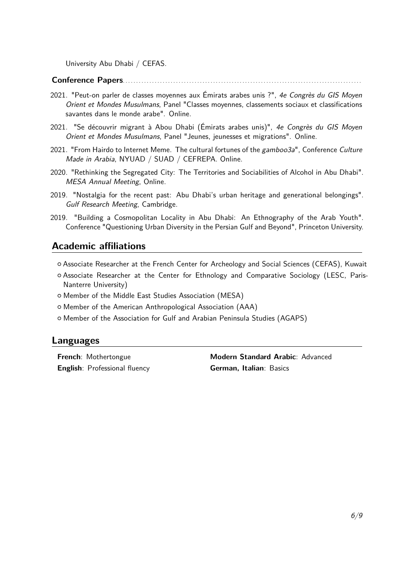University Abu Dhabi / CEFAS.

# **Conference Papers**. . . . . . . . . . . . . . . . . . . . . . . . . . . . . . . . . . . . . . . . . . . . . . . . . . . . . . . . . . . . . . . . . . . . . . . . . . . . . . . . . . . . . . . . . .

- 2021. "Peut-on parler de classes moyennes aux Émirats arabes unis ?", 4e Congrès du GIS Moyen Orient et Mondes Musulmans, Panel "Classes moyennes, classements sociaux et classifications savantes dans le monde arabe". Online.
- 2021. "Se découvrir migrant à Abou Dhabi (Émirats arabes unis)", 4e Congrès du GIS Moyen Orient et Mondes Musulmans, Panel "Jeunes, jeunesses et migrations". Online.
- 2021. "From Hairdo to Internet Meme. The cultural fortunes of the gamboo3a", Conference Culture Made in Arabia, NYUAD / SUAD / CEFREPA. Online.
- 2020. "Rethinking the Segregated City: The Territories and Sociabilities of Alcohol in Abu Dhabi". MESA Annual Meeting, Online.
- 2019. "Nostalgia for the recent past: Abu Dhabi's urban heritage and generational belongings". Gulf Research Meeting, Cambridge.
- 2019. "Building a Cosmopolitan Locality in Abu Dhabi: An Ethnography of the Arab Youth". Conference "Questioning Urban Diversity in the Persian Gulf and Beyond", Princeton University.

### **Academic affiliations**

- { Associate Researcher at the French Center for Archeology and Social Sciences (CEFAS), Kuwait
- { Associate Researcher at the Center for Ethnology and Comparative Sociology (LESC, Paris-Nanterre University)
- { Member of the Middle East Studies Association (MESA)
- { Member of the American Anthropological Association (AAA)
- { Member of the Association for Gulf and Arabian Peninsula Studies (AGAPS)

#### **Languages**

**English**: Professional fluency **German, Italian**: Basics

**French**: Mothertongue **Modern Standard Arabic**: Advanced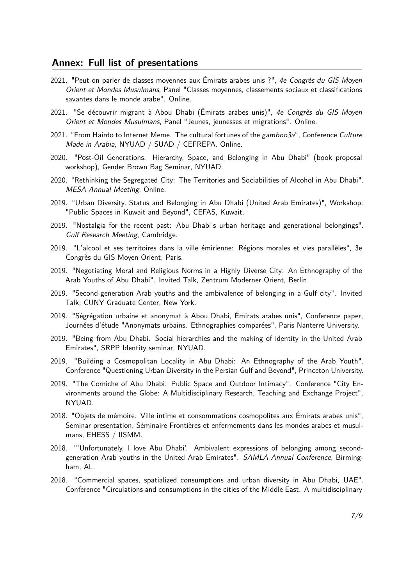## <span id="page-6-0"></span>**Annex: Full list of presentations**

- 2021. "Peut-on parler de classes moyennes aux Émirats arabes unis ?", 4e Congrès du GIS Moyen Orient et Mondes Musulmans, Panel "Classes moyennes, classements sociaux et classifications savantes dans le monde arabe". Online.
- 2021. "Se découvrir migrant à Abou Dhabi (Émirats arabes unis)", 4e Congrès du GIS Moyen Orient et Mondes Musulmans, Panel "Jeunes, jeunesses et migrations". Online.
- 2021. "From Hairdo to Internet Meme. The cultural fortunes of the gamboo3a", Conference Culture Made in Arabia, NYUAD / SUAD / CEFREPA. Online.
- 2020. "Post-Oil Generations. Hierarchy, Space, and Belonging in Abu Dhabi" (book proposal workshop), Gender Brown Bag Seminar, NYUAD.
- 2020. "Rethinking the Segregated City: The Territories and Sociabilities of Alcohol in Abu Dhabi". MESA Annual Meeting, Online.
- 2019. "Urban Diversity, Status and Belonging in Abu Dhabi (United Arab Emirates)", Workshop: "Public Spaces in Kuwait and Beyond", CEFAS, Kuwait.
- 2019. "Nostalgia for the recent past: Abu Dhabi's urban heritage and generational belongings". Gulf Research Meeting, Cambridge.
- 2019. "L'alcool et ses territoires dans la ville émirienne: Régions morales et vies parallèles", 3e Congrès du GIS Moyen Orient, Paris.
- 2019. "Negotiating Moral and Religious Norms in a Highly Diverse City: An Ethnography of the Arab Youths of Abu Dhabi". Invited Talk, Zentrum Moderner Orient, Berlin.
- 2019. "Second-generation Arab youths and the ambivalence of belonging in a Gulf city". Invited Talk, CUNY Graduate Center, New York.
- 2019. "Ségrégation urbaine et anonymat à Abou Dhabi, Émirats arabes unis", Conference paper, Journées d'étude "Anonymats urbains. Ethnographies comparées", Paris Nanterre University.
- 2019. "Being from Abu Dhabi. Social hierarchies and the making of identity in the United Arab Emirates", SRPP Identity seminar, NYUAD.
- 2019. "Building a Cosmopolitan Locality in Abu Dhabi: An Ethnography of the Arab Youth". Conference "Questioning Urban Diversity in the Persian Gulf and Beyond", Princeton University.
- 2019. "The Corniche of Abu Dhabi: Public Space and Outdoor Intimacy". Conference "City Environments around the Globe: A Multidisciplinary Research, Teaching and Exchange Project", NYUAD.
- 2018. "Objets de mémoire. Ville intime et consommations cosmopolites aux Émirats arabes unis", Seminar presentation, Séminaire Frontières et enfermements dans les mondes arabes et musulmans, EHESS / IISMM.
- 2018. "'Unfortunately, I love Abu Dhabi'. Ambivalent expressions of belonging among secondgeneration Arab youths in the United Arab Emirates". SAMLA Annual Conference, Birmingham, AL.
- 2018. "Commercial spaces, spatialized consumptions and urban diversity in Abu Dhabi, UAE". Conference "Circulations and consumptions in the cities of the Middle East. A multidisciplinary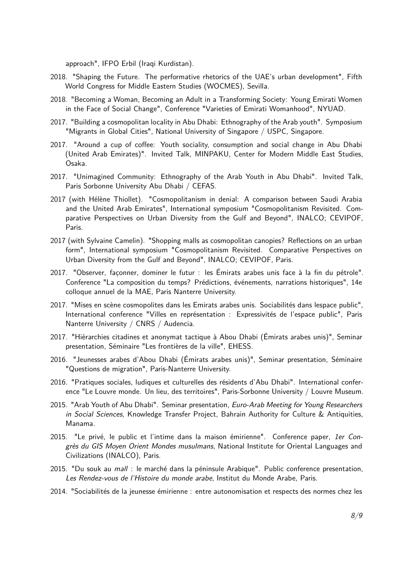approach", IFPO Erbil (Iraqi Kurdistan).

- 2018. "Shaping the Future. The performative rhetorics of the UAE's urban development", Fifth World Congress for Middle Eastern Studies (WOCMES), Sevilla.
- 2018. "Becoming a Woman, Becoming an Adult in a Transforming Society: Young Emirati Women in the Face of Social Change", Conference "Varieties of Emirati Womanhood", NYUAD.
- 2017. "Building a cosmopolitan locality in Abu Dhabi: Ethnography of the Arab youth". Symposium "Migrants in Global Cities", National University of Singapore / USPC, Singapore.
- 2017. "Around a cup of coffee: Youth sociality, consumption and social change in Abu Dhabi (United Arab Emirates)". Invited Talk, MINPAKU, Center for Modern Middle East Studies, Osaka.
- 2017. "Unimagined Community: Ethnography of the Arab Youth in Abu Dhabi". Invited Talk, Paris Sorbonne University Abu Dhabi / CEFAS.
- 2017 (with Hélène Thiollet). "Cosmopolitanism in denial: A comparison between Saudi Arabia and the United Arab Emirates", International symposium "Cosmopolitanism Revisited. Comparative Perspectives on Urban Diversity from the Gulf and Beyond", INALCO; CEVIPOF, Paris.
- 2017 (with Sylvaine Camelin). "Shopping malls as cosmopolitan canopies? Reflections on an urban form", International symposium "Cosmopolitanism Revisited. Comparative Perspectives on Urban Diversity from the Gulf and Beyond", INALCO; CEVIPOF, Paris.
- 2017. "Observer, façonner, dominer le futur : les Émirats arabes unis face à la fin du pétrole". Conference "La composition du temps? Prédictions, événements, narrations historiques", 14e colloque annuel de la MAE, Paris Nanterre University.
- 2017. "Mises en scène cosmopolites dans les Emirats arabes unis. Sociabilités dans lespace public", International conference "Villes en représentation : Expressivités de l'espace public", Paris Nanterre University / CNRS / Audencia.
- 2017. "Hiérarchies citadines et anonymat tactique à Abou Dhabi (Émirats arabes unis)", Seminar presentation, Séminaire "Les frontières de la ville", EHESS.
- 2016. "Jeunesses arabes d'Abou Dhabi (Émirats arabes unis)", Seminar presentation, Séminaire "Questions de migration", Paris-Nanterre University.
- 2016. "Pratiques sociales, ludiques et culturelles des résidents d'Abu Dhabi". International conference "Le Louvre monde. Un lieu, des territoires", Paris-Sorbonne University / Louvre Museum.
- 2015. "Arab Youth of Abu Dhabi". Seminar presentation, Euro-Arab Meeting for Young Researchers in Social Sciences, Knowledge Transfer Project, Bahrain Authority for Culture & Antiquities, Manama.
- 2015. "Le privé, le public et l'intime dans la maison émirienne". Conference paper, 1er Congrès du GIS Moyen Orient Mondes musulmans, National Institute for Oriental Languages and Civilizations (INALCO), Paris.
- 2015. "Du souk au mall : le marché dans la péninsule Arabique". Public conference presentation, Les Rendez-vous de l'Histoire du monde arabe, Institut du Monde Arabe, Paris.
- 2014. "Sociabilités de la jeunesse émirienne : entre autonomisation et respects des normes chez les